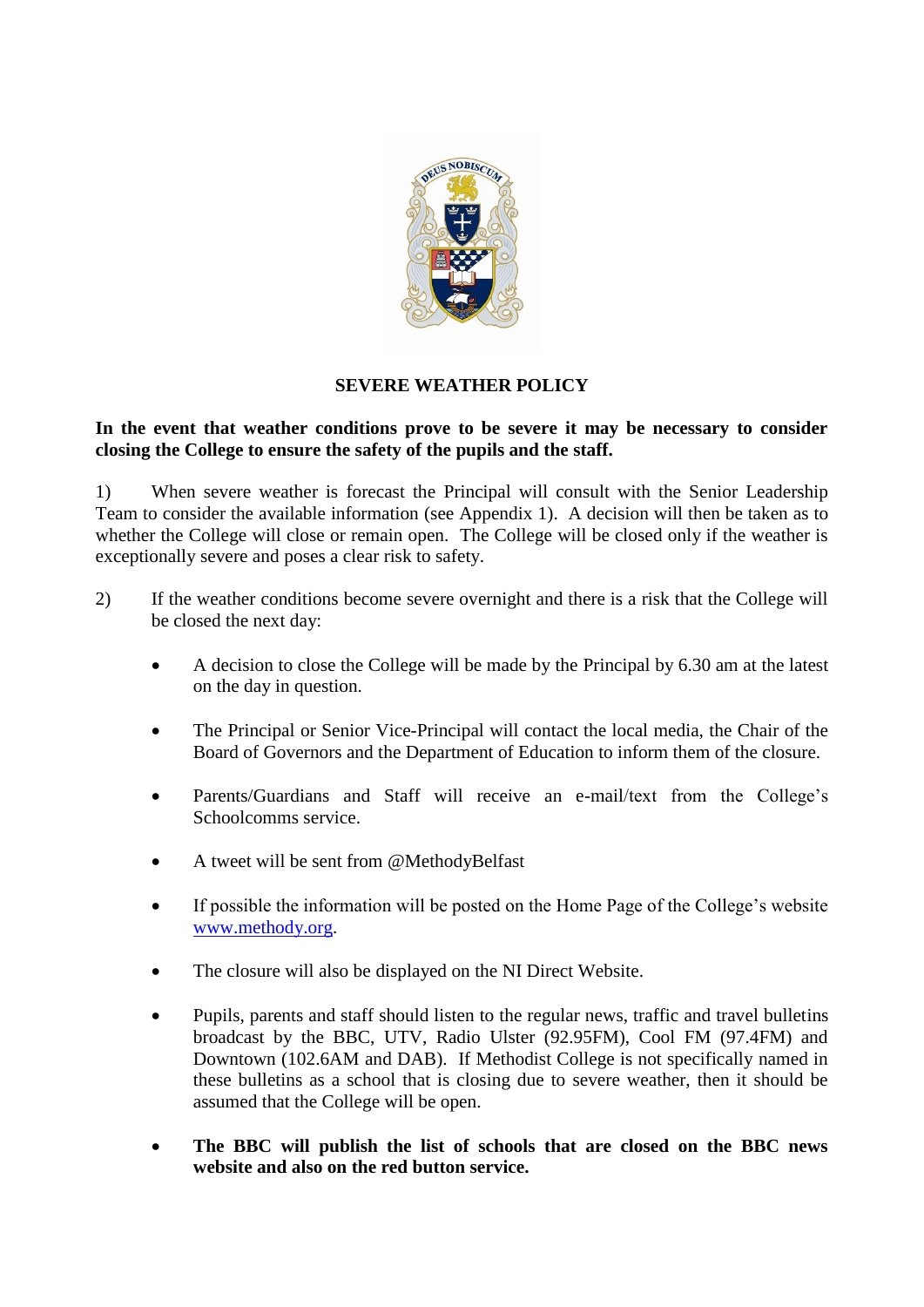

## **SEVERE WEATHER POLICY**

## **In the event that weather conditions prove to be severe it may be necessary to consider closing the College to ensure the safety of the pupils and the staff.**

1) When severe weather is forecast the Principal will consult with the Senior Leadership Team to consider the available information (see Appendix 1). A decision will then be taken as to whether the College will close or remain open. The College will be closed only if the weather is exceptionally severe and poses a clear risk to safety.

- 2) If the weather conditions become severe overnight and there is a risk that the College will be closed the next day:
	- A decision to close the College will be made by the Principal by 6.30 am at the latest on the day in question.
	- The Principal or Senior Vice-Principal will contact the local media, the Chair of the Board of Governors and the Department of Education to inform them of the closure.
	- Parents/Guardians and Staff will receive an e-mail/text from the College's Schoolcomms service.
	- A tweet will be sent from @MethodyBelfast
	- If possible the information will be posted on the Home Page of the College's website [www.methody.org.](http://www.methody.org/)
	- The closure will also be displayed on the NI Direct Website.
	- Pupils, parents and staff should listen to the regular news, traffic and travel bulletins broadcast by the BBC, UTV, Radio Ulster (92.95FM), Cool FM (97.4FM) and Downtown (102.6AM and DAB). If Methodist College is not specifically named in these bulletins as a school that is closing due to severe weather, then it should be assumed that the College will be open.
	- **The BBC will publish the list of schools that are closed on the BBC news website and also on the red button service.**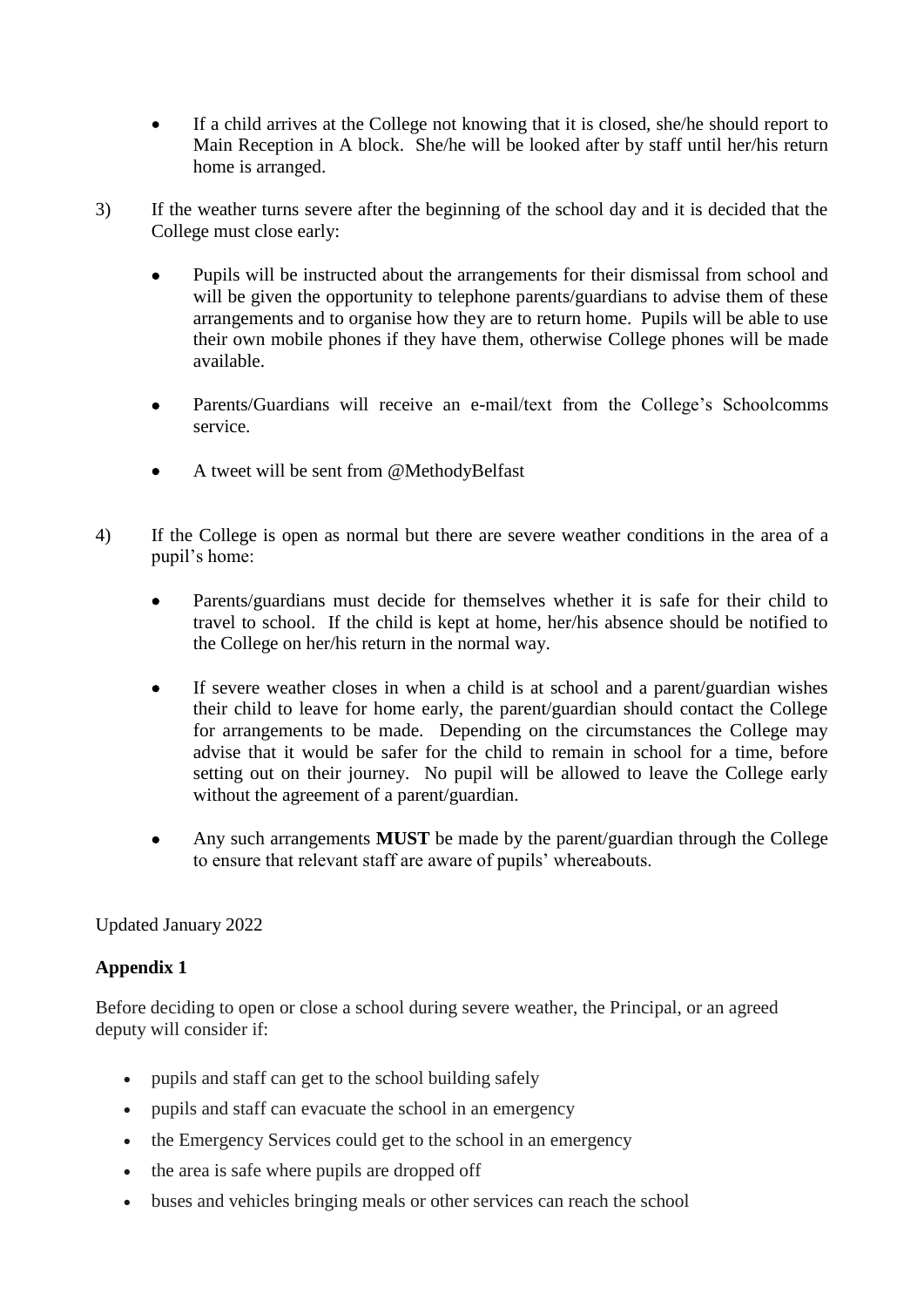- If a child arrives at the College not knowing that it is closed, she/he should report to Main Reception in A block. She/he will be looked after by staff until her/his return home is arranged.
- 3) If the weather turns severe after the beginning of the school day and it is decided that the College must close early:
	- Pupils will be instructed about the arrangements for their dismissal from school and will be given the opportunity to telephone parents/guardians to advise them of these arrangements and to organise how they are to return home. Pupils will be able to use their own mobile phones if they have them, otherwise College phones will be made available.
	- Parents/Guardians will receive an e-mail/text from the College's Schoolcomms service.
	- A tweet will be sent from @MethodyBelfast
- 4) If the College is open as normal but there are severe weather conditions in the area of a pupil's home:
	- Parents/guardians must decide for themselves whether it is safe for their child to travel to school. If the child is kept at home, her/his absence should be notified to the College on her/his return in the normal way.
	- If severe weather closes in when a child is at school and a parent/guardian wishes their child to leave for home early, the parent/guardian should contact the College for arrangements to be made. Depending on the circumstances the College may advise that it would be safer for the child to remain in school for a time, before setting out on their journey. No pupil will be allowed to leave the College early without the agreement of a parent/guardian.
	- Any such arrangements **MUST** be made by the parent/guardian through the College to ensure that relevant staff are aware of pupils' whereabouts.

## Updated January 2022

## **Appendix 1**

Before deciding to open or close a school during severe weather, the Principal, or an agreed deputy will consider if:

- pupils and staff can get to the school building safely
- pupils and staff can evacuate the school in an emergency
- the Emergency Services could get to the school in an emergency
- the area is safe where pupils are dropped off
- buses and vehicles bringing meals or other services can reach the school